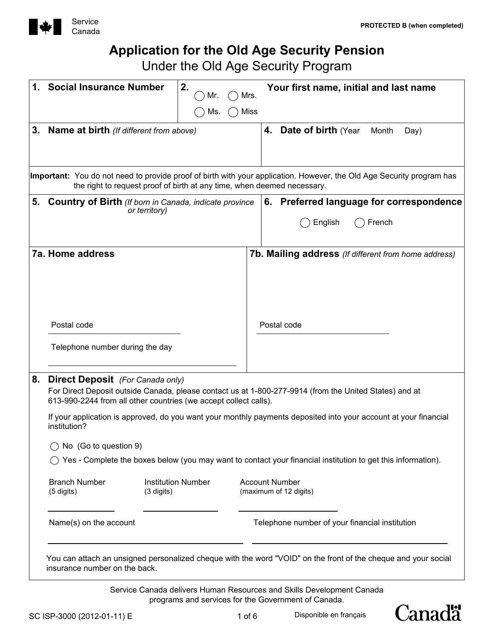

# **Application for the Old Age Security Pension**

Under the Old Age Security Program

|    | <b>Social Insurance Number</b>                                                                                                                                                                                        | 2.<br>Mr.                 | Mrs.       |                                                | Your first name, initial and last name                                        |        |                                                             |  |
|----|-----------------------------------------------------------------------------------------------------------------------------------------------------------------------------------------------------------------------|---------------------------|------------|------------------------------------------------|-------------------------------------------------------------------------------|--------|-------------------------------------------------------------|--|
|    |                                                                                                                                                                                                                       | Ms.                       | Miss       |                                                |                                                                               |        |                                                             |  |
| 3. | Name at birth (If different from above)                                                                                                                                                                               |                           |            | 4.                                             | <b>Date of birth (Year</b>                                                    | Month  | Day)                                                        |  |
|    | Important: You do not need to provide proof of birth with your application. However, the Old Age Security program has<br>the right to request proof of birth at any time, when deemed necessary.                      |                           |            |                                                |                                                                               |        |                                                             |  |
| 5. | <b>Country of Birth</b> (If born in Canada, indicate province<br>or territory)                                                                                                                                        |                           |            |                                                | English                                                                       | French | 6. Preferred language for correspondence                    |  |
|    | <b>7a. Home address</b>                                                                                                                                                                                               |                           |            |                                                |                                                                               |        | <b>7b. Mailing address</b> (If different from home address) |  |
|    | Postal code                                                                                                                                                                                                           |                           |            | Postal code                                    |                                                                               |        |                                                             |  |
|    | Telephone number during the day                                                                                                                                                                                       |                           |            |                                                |                                                                               |        |                                                             |  |
| 8. | <b>Direct Deposit</b> (For Canada only)<br>For Direct Deposit outside Canada, please contact us at 1-800-277-9914 (from the United States) and at<br>613-990-2244 from all other countries (we accept collect calls). |                           |            |                                                |                                                                               |        |                                                             |  |
|    | If your application is approved, do you want your monthly payments deposited into your account at your financial<br>institution?                                                                                      |                           |            |                                                |                                                                               |        |                                                             |  |
|    | No (Go to question 9)                                                                                                                                                                                                 |                           |            |                                                |                                                                               |        |                                                             |  |
|    | Yes - Complete the boxes below (you may want to contact your financial institution to get this information).                                                                                                          |                           |            |                                                |                                                                               |        |                                                             |  |
|    | <b>Branch Number</b><br>(5 digits)<br>$(3 \text{ digits})$                                                                                                                                                            | <b>Institution Number</b> |            | <b>Account Number</b>                          | (maximum of 12 digits)                                                        |        |                                                             |  |
|    | Name(s) on the account                                                                                                                                                                                                |                           |            | Telephone number of your financial institution |                                                                               |        |                                                             |  |
|    | You can attach an unsigned personalized cheque with the word "VOID" on the front of the cheque and your social<br>insurance number on the back.                                                                       |                           |            |                                                |                                                                               |        |                                                             |  |
|    |                                                                                                                                                                                                                       |                           |            |                                                | Service Canada delivers Human Resources and Skills Development Canada         |        |                                                             |  |
|    | SC ISP-3000 (2012-01-11) E                                                                                                                                                                                            |                           | $1$ of $6$ |                                                | programs and services for the Government of Canada.<br>Disponible en français |        | <b>Canadä</b>                                               |  |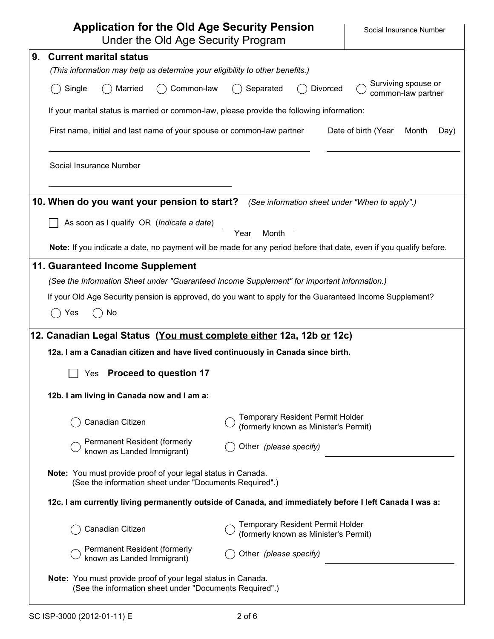| <b>Application for the Old Age Security Pension</b><br>Under the Old Age Security Program                                       |                                                                                               | Social Insurance Number                   |  |  |  |  |  |
|---------------------------------------------------------------------------------------------------------------------------------|-----------------------------------------------------------------------------------------------|-------------------------------------------|--|--|--|--|--|
| <b>Current marital status</b><br>9.                                                                                             |                                                                                               |                                           |  |  |  |  |  |
| (This information may help us determine your eligibility to other benefits.)                                                    |                                                                                               |                                           |  |  |  |  |  |
| Single<br>Married<br>Common-law                                                                                                 | Separated<br>Divorced                                                                         | Surviving spouse or<br>common-law partner |  |  |  |  |  |
| If your marital status is married or common-law, please provide the following information:                                      |                                                                                               |                                           |  |  |  |  |  |
|                                                                                                                                 | First name, initial and last name of your spouse or common-law partner<br>Date of birth (Year |                                           |  |  |  |  |  |
| Social Insurance Number                                                                                                         |                                                                                               |                                           |  |  |  |  |  |
| 10. When do you want your pension to start?                                                                                     | (See information sheet under "When to apply".)                                                |                                           |  |  |  |  |  |
| As soon as I qualify OR (Indicate a date)                                                                                       |                                                                                               |                                           |  |  |  |  |  |
| Note: If you indicate a date, no payment will be made for any period before that date, even if you qualify before.              | Year<br>Month                                                                                 |                                           |  |  |  |  |  |
|                                                                                                                                 |                                                                                               |                                           |  |  |  |  |  |
| 11. Guaranteed Income Supplement<br>(See the Information Sheet under "Guaranteed Income Supplement" for important information.) |                                                                                               |                                           |  |  |  |  |  |
| If your Old Age Security pension is approved, do you want to apply for the Guaranteed Income Supplement?                        |                                                                                               |                                           |  |  |  |  |  |
| No<br>Yes                                                                                                                       |                                                                                               |                                           |  |  |  |  |  |
| 12. Canadian Legal Status (You must complete either 12a, 12b or 12c)                                                            |                                                                                               |                                           |  |  |  |  |  |
| 12a. I am a Canadian citizen and have lived continuously in Canada since birth.                                                 |                                                                                               |                                           |  |  |  |  |  |
| <b>Proceed to question 17</b><br>Yes                                                                                            |                                                                                               |                                           |  |  |  |  |  |
| 12b. I am living in Canada now and I am a:                                                                                      |                                                                                               |                                           |  |  |  |  |  |
| Canadian Citizen                                                                                                                | <b>Temporary Resident Permit Holder</b><br>(formerly known as Minister's Permit)              |                                           |  |  |  |  |  |
| Permanent Resident (formerly<br>known as Landed Immigrant)                                                                      | Other (please specify)                                                                        |                                           |  |  |  |  |  |
| Note: You must provide proof of your legal status in Canada.<br>(See the information sheet under "Documents Required".)         |                                                                                               |                                           |  |  |  |  |  |
| 12c. I am currently living permanently outside of Canada, and immediately before I left Canada I was a:                         |                                                                                               |                                           |  |  |  |  |  |
| Canadian Citizen                                                                                                                | <b>Temporary Resident Permit Holder</b><br>(formerly known as Minister's Permit)              |                                           |  |  |  |  |  |
| Permanent Resident (formerly<br>known as Landed Immigrant)                                                                      | Other (please specify)                                                                        |                                           |  |  |  |  |  |
| Note: You must provide proof of your legal status in Canada.<br>(See the information sheet under "Documents Required".)         |                                                                                               |                                           |  |  |  |  |  |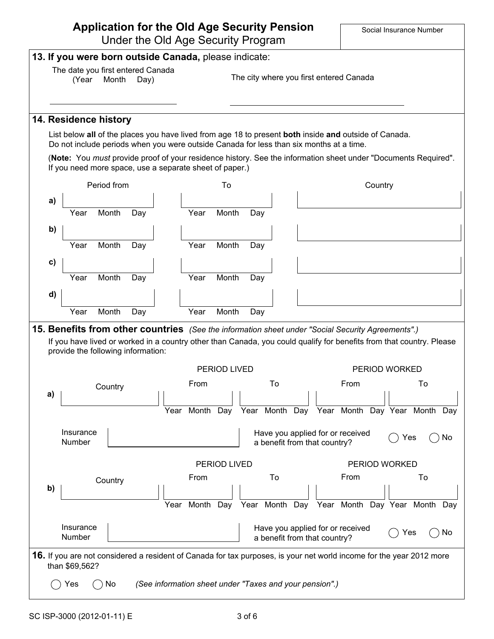# **Application for the Old Age Security Pension**

Under the Old Age Security Program

|    | (Year               | The date you first entered Canada<br>Month                                                                                                                                                                                                                      | Day) |      |      |                                                             |     |                              |  |  | The city where you first entered Canada |  |               |    |    |
|----|---------------------|-----------------------------------------------------------------------------------------------------------------------------------------------------------------------------------------------------------------------------------------------------------------|------|------|------|-------------------------------------------------------------|-----|------------------------------|--|--|-----------------------------------------|--|---------------|----|----|
|    |                     | 14. Residence history                                                                                                                                                                                                                                           |      |      |      |                                                             |     |                              |  |  |                                         |  |               |    |    |
|    |                     | List below all of the places you have lived from age 18 to present both inside and outside of Canada.<br>Do not include periods when you were outside Canada for less than six months at a time.                                                                |      |      |      |                                                             |     |                              |  |  |                                         |  |               |    |    |
|    |                     | (Note: You must provide proof of your residence history. See the information sheet under "Documents Required".<br>If you need more space, use a separate sheet of paper.)                                                                                       |      |      |      |                                                             |     |                              |  |  |                                         |  |               |    |    |
|    | Period from         |                                                                                                                                                                                                                                                                 |      |      | To   |                                                             |     | Country                      |  |  |                                         |  |               |    |    |
| a) |                     |                                                                                                                                                                                                                                                                 |      |      |      |                                                             |     |                              |  |  |                                         |  |               |    |    |
|    | Year                | Month                                                                                                                                                                                                                                                           | Day  |      | Year | Month                                                       | Day |                              |  |  |                                         |  |               |    |    |
| b) |                     |                                                                                                                                                                                                                                                                 |      |      |      |                                                             |     |                              |  |  |                                         |  |               |    |    |
|    | Year                | Month                                                                                                                                                                                                                                                           | Day  |      | Year | Month                                                       | Day |                              |  |  |                                         |  |               |    |    |
| c) |                     |                                                                                                                                                                                                                                                                 |      |      |      |                                                             |     |                              |  |  |                                         |  |               |    |    |
|    | Year                | Month                                                                                                                                                                                                                                                           | Day  |      | Year | Month                                                       | Day |                              |  |  |                                         |  |               |    |    |
| d) |                     |                                                                                                                                                                                                                                                                 |      |      |      |                                                             |     |                              |  |  |                                         |  |               |    |    |
|    |                     |                                                                                                                                                                                                                                                                 |      |      |      |                                                             |     |                              |  |  |                                         |  |               |    |    |
|    | Year                | Month                                                                                                                                                                                                                                                           | Day  |      | Year | Month                                                       | Day |                              |  |  |                                         |  |               |    |    |
|    |                     | 15. Benefits from other countries (See the information sheet under "Social Security Agreements".)<br>If you have lived or worked in a country other than Canada, you could qualify for benefits from that country. Please<br>provide the following information: |      |      |      | <b>PERIOD LIVED</b>                                         |     |                              |  |  |                                         |  | PERIOD WORKED |    |    |
|    |                     |                                                                                                                                                                                                                                                                 |      |      | From |                                                             |     | To                           |  |  | From                                    |  |               | To |    |
| a) |                     | Country                                                                                                                                                                                                                                                         |      |      |      |                                                             |     |                              |  |  |                                         |  |               |    |    |
|    |                     |                                                                                                                                                                                                                                                                 |      |      |      | Year Month Day Year Month Day Year Month Day Year Month Day |     |                              |  |  |                                         |  |               |    |    |
|    | Insurance<br>Number |                                                                                                                                                                                                                                                                 |      |      |      |                                                             |     | a benefit from that country? |  |  | Have you applied for or received        |  | Yes           |    |    |
|    |                     |                                                                                                                                                                                                                                                                 |      |      |      | PERIOD LIVED                                                |     |                              |  |  |                                         |  | PERIOD WORKED |    |    |
|    |                     |                                                                                                                                                                                                                                                                 |      |      | From |                                                             |     | To                           |  |  | From                                    |  |               | To |    |
| b) |                     | Country                                                                                                                                                                                                                                                         |      |      |      |                                                             |     |                              |  |  |                                         |  |               |    |    |
|    |                     |                                                                                                                                                                                                                                                                 |      | Year |      | Month Day Year Month Day Year Month Day Year Month Day      |     |                              |  |  |                                         |  |               |    | No |
|    | Insurance<br>Number |                                                                                                                                                                                                                                                                 |      |      |      |                                                             |     | a benefit from that country? |  |  | Have you applied for or received        |  | Yes           |    | No |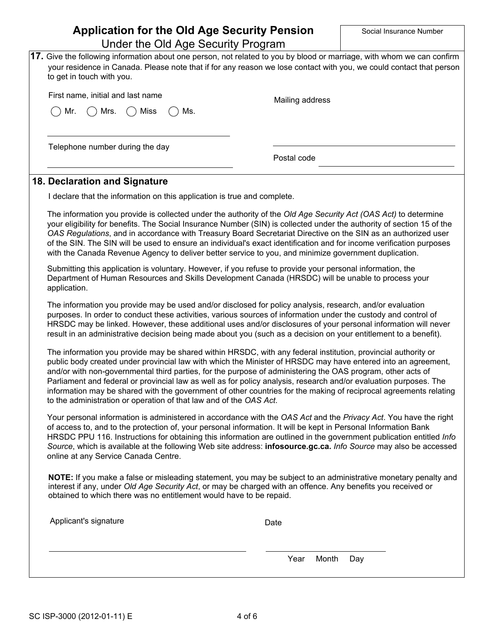| <b>Application for the Old Age Security Pension</b><br>Under the Old Age Security Program                                                                                                                                                                                                                                                                                                                                                                                                                                                                                                                                                                     |                 | Social Insurance Number |
|---------------------------------------------------------------------------------------------------------------------------------------------------------------------------------------------------------------------------------------------------------------------------------------------------------------------------------------------------------------------------------------------------------------------------------------------------------------------------------------------------------------------------------------------------------------------------------------------------------------------------------------------------------------|-----------------|-------------------------|
| 17. Give the following information about one person, not related to you by blood or marriage, with whom we can confirm<br>your residence in Canada. Please note that if for any reason we lose contact with you, we could contact that person<br>to get in touch with you.                                                                                                                                                                                                                                                                                                                                                                                    |                 |                         |
| First name, initial and last name                                                                                                                                                                                                                                                                                                                                                                                                                                                                                                                                                                                                                             | Mailing address |                         |
| Mr.<br><b>Miss</b><br>Mrs.<br>Ms.                                                                                                                                                                                                                                                                                                                                                                                                                                                                                                                                                                                                                             |                 |                         |
|                                                                                                                                                                                                                                                                                                                                                                                                                                                                                                                                                                                                                                                               |                 |                         |
| Telephone number during the day                                                                                                                                                                                                                                                                                                                                                                                                                                                                                                                                                                                                                               | Postal code     |                         |
| 18. Declaration and Signature                                                                                                                                                                                                                                                                                                                                                                                                                                                                                                                                                                                                                                 |                 |                         |
| I declare that the information on this application is true and complete.                                                                                                                                                                                                                                                                                                                                                                                                                                                                                                                                                                                      |                 |                         |
| The information you provide is collected under the authority of the Old Age Security Act (OAS Act) to determine<br>your eligibility for benefits. The Social Insurance Number (SIN) is collected under the authority of section 15 of the<br>OAS Regulations, and in accordance with Treasury Board Secretariat Directive on the SIN as an authorized user<br>of the SIN. The SIN will be used to ensure an individual's exact identification and for income verification purposes<br>with the Canada Revenue Agency to deliver better service to you, and minimize government duplication.                                                                   |                 |                         |
| Submitting this application is voluntary. However, if you refuse to provide your personal information, the<br>Department of Human Resources and Skills Development Canada (HRSDC) will be unable to process your<br>application.                                                                                                                                                                                                                                                                                                                                                                                                                              |                 |                         |
| The information you provide may be used and/or disclosed for policy analysis, research, and/or evaluation<br>purposes. In order to conduct these activities, various sources of information under the custody and control of<br>HRSDC may be linked. However, these additional uses and/or disclosures of your personal information will never<br>result in an administrative decision being made about you (such as a decision on your entitlement to a benefit).                                                                                                                                                                                            |                 |                         |
| The information you provide may be shared within HRSDC, with any federal institution, provincial authority or<br>public body created under provincial law with which the Minister of HRSDC may have entered into an agreement,<br>and/or with non-governmental third parties, for the purpose of administering the OAS program, other acts of<br>Parliament and federal or provincial law as well as for policy analysis, research and/or evaluation purposes. The<br>information may be shared with the government of other countries for the making of reciprocal agreements relating<br>to the administration or operation of that law and of the OAS Act. |                 |                         |
| Your personal information is administered in accordance with the OAS Act and the Privacy Act. You have the right<br>of access to, and to the protection of, your personal information. It will be kept in Personal Information Bank<br>HRSDC PPU 116. Instructions for obtaining this information are outlined in the government publication entitled Info<br>Source, which is available at the following Web site address: infosource.gc.ca. Info Source may also be accessed<br>online at any Service Canada Centre.                                                                                                                                        |                 |                         |
| NOTE: If you make a false or misleading statement, you may be subject to an administrative monetary penalty and<br>interest if any, under Old Age Security Act, or may be charged with an offence. Any benefits you received or<br>obtained to which there was no entitlement would have to be repaid.                                                                                                                                                                                                                                                                                                                                                        |                 |                         |
| Applicant's signature                                                                                                                                                                                                                                                                                                                                                                                                                                                                                                                                                                                                                                         | Date            |                         |
|                                                                                                                                                                                                                                                                                                                                                                                                                                                                                                                                                                                                                                                               | Month<br>Year   | Day                     |
|                                                                                                                                                                                                                                                                                                                                                                                                                                                                                                                                                                                                                                                               |                 |                         |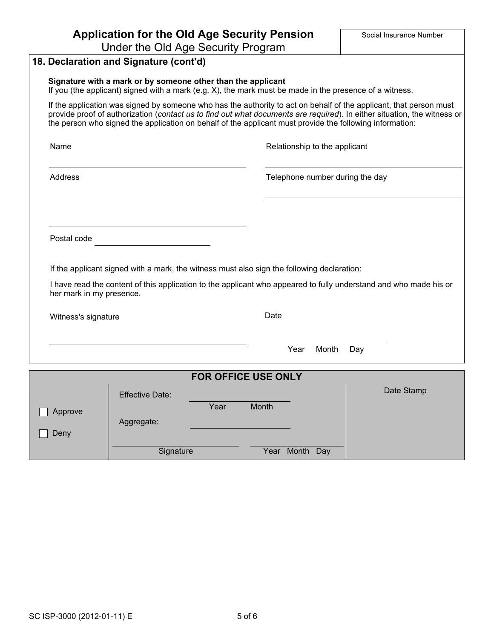|                          | <b>Application for the Old Age Security Pension</b><br>Under the Old Age Security Program                                                                               |                            |       |                               |       | Social Insurance Number                                                                                                                                                                                                                        |
|--------------------------|-------------------------------------------------------------------------------------------------------------------------------------------------------------------------|----------------------------|-------|-------------------------------|-------|------------------------------------------------------------------------------------------------------------------------------------------------------------------------------------------------------------------------------------------------|
|                          | 18. Declaration and Signature (cont'd)                                                                                                                                  |                            |       |                               |       |                                                                                                                                                                                                                                                |
|                          |                                                                                                                                                                         |                            |       |                               |       |                                                                                                                                                                                                                                                |
|                          | Signature with a mark or by someone other than the applicant<br>If you (the applicant) signed with a mark (e.g. X), the mark must be made in the presence of a witness. |                            |       |                               |       |                                                                                                                                                                                                                                                |
|                          | the person who signed the application on behalf of the applicant must provide the following information:                                                                |                            |       |                               |       | If the application was signed by someone who has the authority to act on behalf of the applicant, that person must<br>provide proof of authorization (contact us to find out what documents are required). In either situation, the witness or |
| Name                     |                                                                                                                                                                         |                            |       | Relationship to the applicant |       |                                                                                                                                                                                                                                                |
| Address                  |                                                                                                                                                                         |                            |       |                               |       | Telephone number during the day                                                                                                                                                                                                                |
|                          |                                                                                                                                                                         |                            |       |                               |       |                                                                                                                                                                                                                                                |
| Postal code              |                                                                                                                                                                         |                            |       |                               |       |                                                                                                                                                                                                                                                |
|                          | If the applicant signed with a mark, the witness must also sign the following declaration:                                                                              |                            |       |                               |       |                                                                                                                                                                                                                                                |
| her mark in my presence. |                                                                                                                                                                         |                            |       |                               |       | I have read the content of this application to the applicant who appeared to fully understand and who made his or                                                                                                                              |
| Witness's signature      |                                                                                                                                                                         |                            | Date  |                               |       |                                                                                                                                                                                                                                                |
|                          |                                                                                                                                                                         |                            |       | Year                          | Month | Day                                                                                                                                                                                                                                            |
|                          |                                                                                                                                                                         | <b>FOR OFFICE USE ONLY</b> |       |                               |       |                                                                                                                                                                                                                                                |
|                          | <b>Effective Date:</b>                                                                                                                                                  |                            |       |                               |       | Date Stamp                                                                                                                                                                                                                                     |
|                          |                                                                                                                                                                         | Year                       | Month |                               |       |                                                                                                                                                                                                                                                |
| Approve                  | Aggregate:                                                                                                                                                              |                            |       |                               |       |                                                                                                                                                                                                                                                |
| Deny                     |                                                                                                                                                                         |                            |       |                               |       |                                                                                                                                                                                                                                                |
|                          | Signature                                                                                                                                                               |                            |       | Year Month                    | Day   |                                                                                                                                                                                                                                                |

SC ISP-3000 (2012-01-11) E 5 of 6